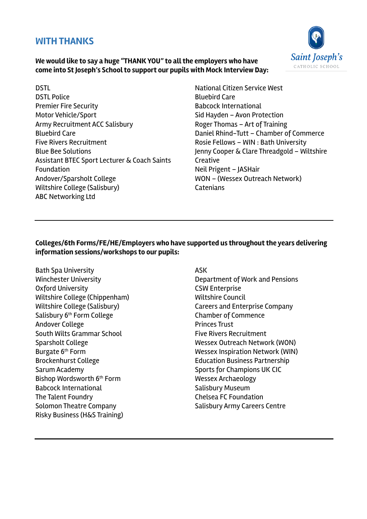## **WITH THANKS**

**We would like to say a huge "THANK YOU" to all the employers who have come into St Joseph's School to support our pupils with Mock Interview Day:**

- DSTL DSTL Police Premier Fire Security Motor Vehicle/Sport Army Recruitment ACC Salisbury Bluebird Care Five Rivers Recruitment Blue Bee Solutions Assistant BTEC Sport Lecturer & Coach Saints Foundation Andover/Sparsholt College Wiltshire College (Salisbury) ABC Networking Ltd
- National Citizen Service West Bluebird Care Babcock International Sid Hayden – Avon Protection Roger Thomas – Art of Training Daniel Rhind-Tutt – Chamber of Commerce Rosie Fellows – WIN : Bath University Jenny Cooper & Clare Threadgold – Wiltshire Creative Neil Prigent – JASHair WON – (Wessex Outreach Network) **Catenians**

## **Colleges/6th Forms/FE/HE/Employers who have supported us throughout the years delivering information sessions/workshops to our pupils:**

ASK

Bath Spa University Winchester University Oxford University Wiltshire College (Chippenham) Wiltshire College (Salisbury) Salisbury 6<sup>th</sup> Form College Andover College South Wilts Grammar School Sparsholt College Burgate 6<sup>th</sup> Form Brockenhurst College Sarum Academy Bishop Wordsworth 6<sup>th</sup> Form Babcock International The Talent Foundry Solomon Theatre Company Risky Business (H&S Training)

## Department of Work and Pensions CSW Enterprise Wiltshire Council Careers and Enterprise Company Chamber of Commence Princes Trust Five Rivers Recruitment Wessex Outreach Network (WON) Wessex Inspiration Network (WIN) Education Business Partnership Sports for Champions UK CIC Wessex Archaeology Salisbury Museum Chelsea FC Foundation Salisbury Army Careers Centre